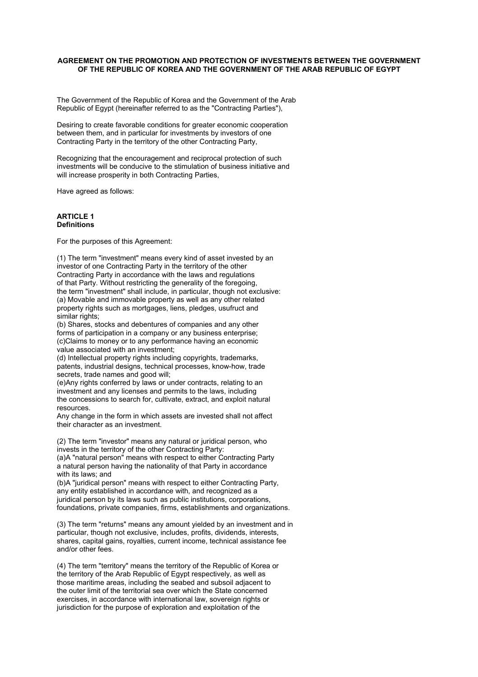#### **AGREEMENT ON THE PROMOTION AND PROTECTION OF INVESTMENTS BETWEEN THE GOVERNMENT OF THE REPUBLIC OF KOREA AND THE GOVERNMENT OF THE ARAB REPUBLIC OF EGYPT**

The Government of the Republic of Korea and the Government of the Arab Republic of Egypt (hereinafter referred to as the "Contracting Parties"),

Desiring to create favorable conditions for greater economic cooperation between them, and in particular for investments by investors of one Contracting Party in the territory of the other Contracting Party,

Recognizing that the encouragement and reciprocal protection of such investments will be conducive to the stimulation of business initiative and will increase prosperity in both Contracting Parties,

Have agreed as follows:

#### **ARTICLE 1 Definitions**

For the purposes of this Agreement:

(1) The term "investment" means every kind of asset invested by an investor of one Contracting Party in the territory of the other Contracting Party in accordance with the laws and regulations of that Party. Without restricting the generality of the foregoing, the term "investment" shall include, in particular, though not exclusive: (a) Movable and immovable property as well as any other related property rights such as mortgages, liens, pledges, usufruct and similar rights:

(b) Shares, stocks and debentures of companies and any other forms of participation in a company or any business enterprise; (c)Claims to money or to any performance having an economic value associated with an investment;

(d) Intellectual property rights including copyrights, trademarks, patents, industrial designs, technical processes, know-how, trade secrets, trade names and good will;

(e)Any rights conferred by laws or under contracts, relating to an investment and any licenses and permits to the laws, including the concessions to search for, cultivate, extract, and exploit natural resources.

Any change in the form in which assets are invested shall not affect their character as an investment.

(2) The term "investor" means any natural or juridical person, who invests in the territory of the other Contracting Party: (a)A "natural person" means with respect to either Contracting Party a natural person having the nationality of that Party in accordance

with its laws; and (b)A "juridical person" means with respect to either Contracting Party, any entity established in accordance with, and recognized as a juridical person by its laws such as public institutions, corporations, foundations, private companies, firms, establishments and organizations.

(3) The term "returns" means any amount yielded by an investment and in particular, though not exclusive, includes, profits, dividends, interests, shares, capital gains, royalties, current income, technical assistance fee and/or other fees.

(4) The term "territory" means the territory of the Republic of Korea or the territory of the Arab Republic of Egypt respectively, as well as those maritime areas, including the seabed and subsoil adjacent to the outer limit of the territorial sea over which the State concerned exercises, in accordance with international law, sovereign rights or jurisdiction for the purpose of exploration and exploitation of the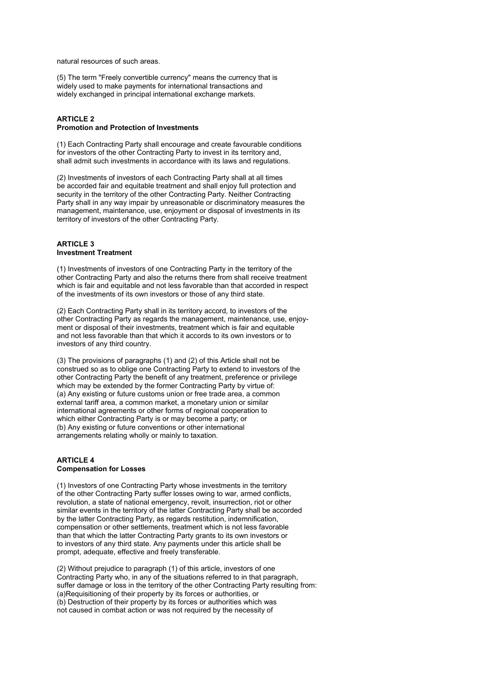natural resources of such areas.

(5) The term "Freely convertible currency" means the currency that is widely used to make payments for international transactions and widely exchanged in principal international exchange markets.

## **ARTICLE 2 Promotion and Protection of Investments**

(1) Each Contracting Party shall encourage and create favourable conditions for investors of the other Contracting Party to invest in its territory and, shall admit such investments in accordance with its laws and regulations.

(2) Investments of investors of each Contracting Party shall at all times be accorded fair and equitable treatment and shall enjoy full protection and security in the territory of the other Contracting Party. Neither Contracting Party shall in any way impair by unreasonable or discriminatory measures the management, maintenance, use, enjoyment or disposal of investments in its territory of investors of the other Contracting Party.

## **ARTICLE 3 Investment Treatment**

(1) Investments of investors of one Contracting Party in the territory of the other Contracting Party and also the returns there from shall receive treatment which is fair and equitable and not less favorable than that accorded in respect of the investments of its own investors or those of any third state.

(2) Each Contracting Party shall in its territory accord, to investors of the other Contracting Party as regards the management, maintenance, use, enjoyment or disposal of their investments, treatment which is fair and equitable and not less favorable than that which it accords to its own investors or to investors of any third country.

(3) The provisions of paragraphs (1) and (2) of this Article shall not be construed so as to oblige one Contracting Party to extend to investors of the other Contracting Party the benefit of any treatment, preference or privilege which may be extended by the former Contracting Party by virtue of: (a) Any existing or future customs union or free trade area, a common external tariff area, a common market, a monetary union or similar international agreements or other forms of regional cooperation to which either Contracting Party is or may become a party; or (b) Any existing or future conventions or other international arrangements relating wholly or mainly to taxation.

# **ARTICLE 4 Compensation for Losses**

(1) Investors of one Contracting Party whose investments in the territory of the other Contracting Party suffer losses owing to war, armed conflicts, revolution, a state of national emergency, revolt, insurrection, riot or other similar events in the territory of the latter Contracting Party shall be accorded by the latter Contracting Party, as regards restitution, indemnification, compensation or other settlements, treatment which is not less favorable than that which the latter Contracting Party grants to its own investors or to investors of any third state. Any payments under this article shall be prompt, adequate, effective and freely transferable.

(2) Without prejudice to paragraph (1) of this article, investors of one Contracting Party who, in any of the situations referred to in that paragraph, suffer damage or loss in the territory of the other Contracting Party resulting from: (a)Requisitioning of their property by its forces or authorities, or (b) Destruction of their property by its forces or authorities which was not caused in combat action or was not required by the necessity of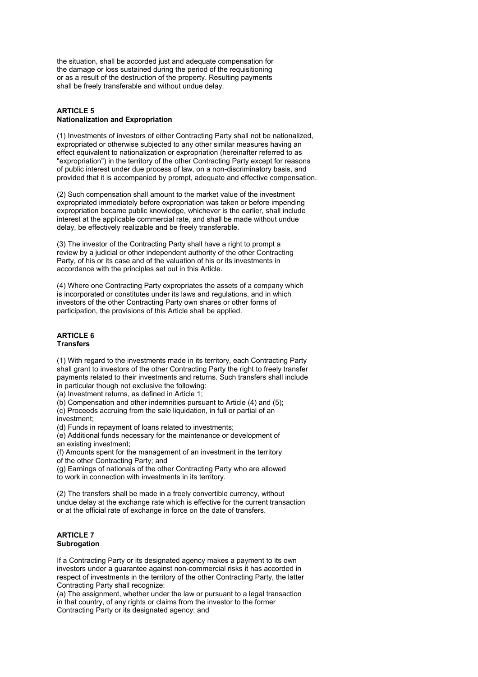the situation, shall be accorded just and adequate compensation for the damage or loss sustained during the period of the requisitioning or as a result of the destruction of the property. Resulting payments shall be freely transferable and without undue delay.

# **ARTICLE 5 Nationalization and Expropriation**

(1) Investments of investors of either Contracting Party shall not be nationalized, expropriated or otherwise subjected to any other similar measures having an effect equivalent to nationalization or expropriation (hereinafter referred to as "expropriation") in the territory of the other Contracting Party except for reasons of public interest under due process of law, on a non-discriminatory basis, and provided that it is accompanied by prompt, adequate and effective compensation.

(2) Such compensation shall amount to the market value of the investment expropriated immediately before expropriation was taken or before impending expropriation became public knowledge, whichever is the earlier, shall include interest at the applicable commercial rate, and shall be made without undue delay, be effectively realizable and be freely transferable.

(3) The investor of the Contracting Party shall have a right to prompt a review by a judicial or other independent authority of the other Contracting Party, of his or its case and of the valuation of his or its investments in accordance with the principles set out in this Article.

(4) Where one Contracting Party expropriates the assets of a company which is incorporated or constitutes under its laws and regulations, and in which investors of the other Contracting Party own shares or other forms of participation, the provisions of this Article shall be applied.

#### **ARTICLE 6 Transfers**

(1) With regard to the investments made in its territory, each Contracting Party shall grant to investors of the other Contracting Party the right to freely transfer payments related to their investments and returns. Such transfers shall include in particular though not exclusive the following:

(a) Investment returns, as defined in Article 1;

(b) Compensation and other indemnities pursuant to Article (4) and (5); (c) Proceeds accruing from the sale liquidation, in full or partial of an investment;

(d) Funds in repayment of loans related to investments;

(e) Additional funds necessary for the maintenance or development of an existing investment;

(f) Amounts spent for the management of an investment in the territory of the other Contracting Party; and

(g) Earnings of nationals of the other Contracting Party who are allowed to work in connection with investments in its territory.

(2) The transfers shall be made in a freely convertible currency, without undue delay at the exchange rate which is effective for the current transaction or at the official rate of exchange in force on the date of transfers.

# **ARTICLE 7 Subrogation**

If a Contracting Party or its designated agency makes a payment to its own investors under a guarantee against non-commercial risks it has accorded in respect of investments in the territory of the other Contracting Party, the latter Contracting Party shall recognize:

(a) The assignment, whether under the law or pursuant to a legal transaction in that country, of any rights or claims from the investor to the former Contracting Party or its designated agency; and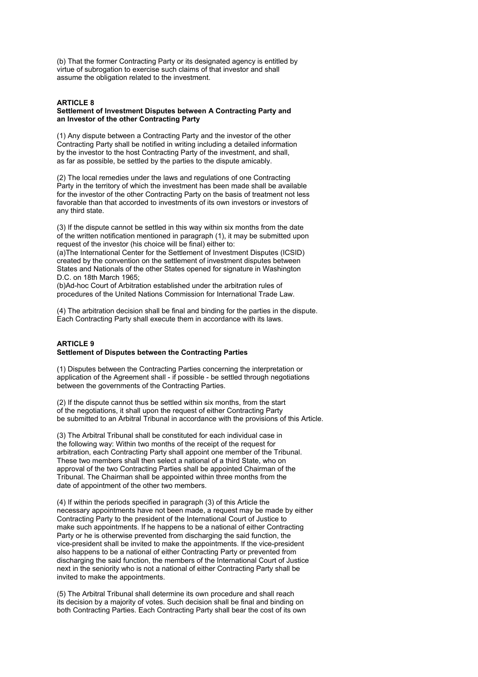(b) That the former Contracting Party or its designated agency is entitled by virtue of subrogation to exercise such claims of that investor and shall assume the obligation related to the investment.

## **ARTICLE 8**

#### **Settlement of Investment Disputes between A Contracting Party and an Investor of the other Contracting Party**

(1) Any dispute between a Contracting Party and the investor of the other Contracting Party shall be notified in writing including a detailed information by the investor to the host Contracting Party of the investment, and shall, as far as possible, be settled by the parties to the dispute amicably.

(2) The local remedies under the laws and regulations of one Contracting Party in the territory of which the investment has been made shall be available for the investor of the other Contracting Party on the basis of treatment not less favorable than that accorded to investments of its own investors or investors of any third state.

(3) If the dispute cannot be settled in this way within six months from the date of the written notification mentioned in paragraph (1), it may be submitted upon request of the investor (his choice will be final) either to:

(a)The International Center for the Settlement of Investment Disputes (ICSID) created by the convention on the settlement of investment disputes between States and Nationals of the other States opened for signature in Washington D.C. on 18th March 1965;

(b)Ad-hoc Court of Arbitration established under the arbitration rules of procedures of the United Nations Commission for International Trade Law.

(4) The arbitration decision shall be final and binding for the parties in the dispute. Each Contracting Party shall execute them in accordance with its laws.

# **ARTICLE 9 Settlement of Disputes between the Contracting Parties**

(1) Disputes between the Contracting Parties concerning the interpretation or application of the Agreement shall - if possible - be settled through negotiations between the governments of the Contracting Parties.

(2) If the dispute cannot thus be settled within six months, from the start of the negotiations, it shall upon the request of either Contracting Party be submitted to an Arbitral Tribunal in accordance with the provisions of this Article.

(3) The Arbitral Tribunal shall be constituted for each individual case in the following way: Within two months of the receipt of the request for arbitration, each Contracting Party shall appoint one member of the Tribunal. These two members shall then select a national of a third State, who on approval of the two Contracting Parties shall be appointed Chairman of the Tribunal. The Chairman shall be appointed within three months from the date of appointment of the other two members.

(4) If within the periods specified in paragraph (3) of this Article the necessary appointments have not been made, a request may be made by either Contracting Party to the president of the International Court of Justice to make such appointments. If he happens to be a national of either Contracting Party or he is otherwise prevented from discharging the said function, the vice-president shall be invited to make the appointments. If the vice-president also happens to be a national of either Contracting Party or prevented from discharging the said function, the members of the International Court of Justice next in the seniority who is not a national of either Contracting Party shall be invited to make the appointments.

(5) The Arbitral Tribunal shall determine its own procedure and shall reach its decision by a majority of votes. Such decision shall be final and binding on both Contracting Parties. Each Contracting Party shall bear the cost of its own